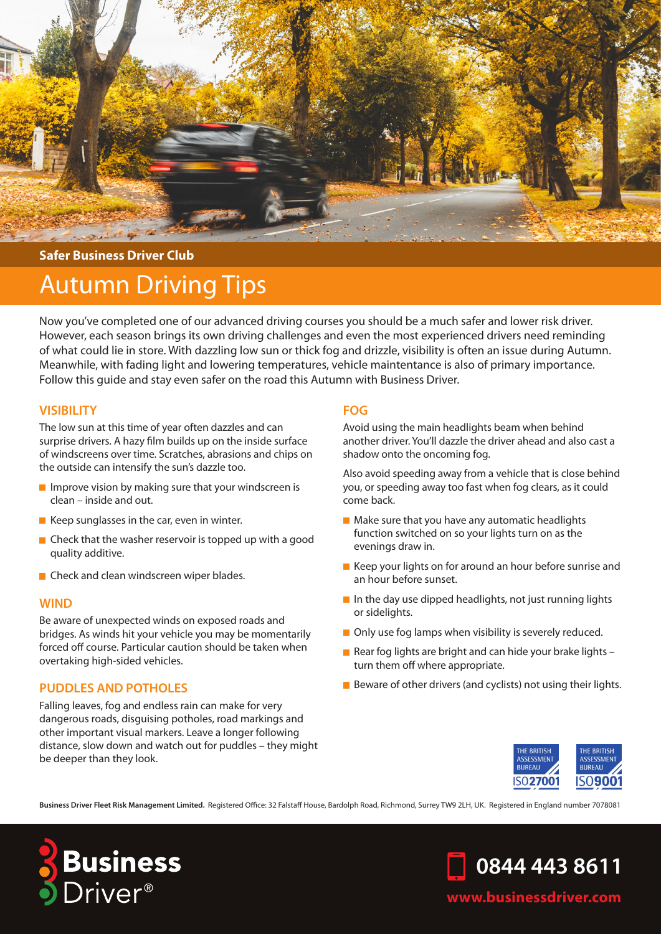

### **Safer Business Driver Club**

# Autumn Driving Tips

Now you've completed one of our advanced driving courses you should be a much safer and lower risk driver. However, each season brings its own driving challenges and even the most experienced drivers need reminding of what could lie in store. With dazzling low sun or thick fog and drizzle, visibility is often an issue during Autumn. Meanwhile, with fading light and lowering temperatures, vehicle maintentance is also of primary importance. Follow this guide and stay even safer on the road this Autumn with Business Driver.

### **VISIBILITY**

The low sun at this time of year often dazzles and can surprise drivers. A hazy film builds up on the inside surface of windscreens over time. Scratches, abrasions and chips on the outside can intensify the sun's dazzle too.

- $\blacksquare$  Improve vision by making sure that your windscreen is clean – inside and out.
- $\blacksquare$  Keep sunglasses in the car, even in winter.
- $\blacksquare$  Check that the washer reservoir is topped up with a good quality additive.
- **Check and clean windscreen wiper blades.**

### **WIND**

Be aware of unexpected winds on exposed roads and bridges. As winds hit your vehicle you may be momentarily forced off course. Particular caution should be taken when overtaking high-sided vehicles.

### **PUDDLES AND POTHOLES**

Falling leaves, fog and endless rain can make for very dangerous roads, disguising potholes, road markings and other important visual markers. Leave a longer following distance, slow down and watch out for puddles – they might be deeper than they look.

### **FOG**

Avoid using the main headlights beam when behind another driver. You'll dazzle the driver ahead and also cast a shadow onto the oncoming fog.

Also avoid speeding away from a vehicle that is close behind you, or speeding away too fast when fog clears, as it could come back.

- $\blacksquare$  Make sure that you have any automatic headlights function switched on so your lights turn on as the evenings draw in.
- Keep your lights on for around an hour before sunrise and an hour before sunset.
- $\blacksquare$  In the day use dipped headlights, not just running lights or sidelights.
- Only use fog lamps when visibility is severely reduced.
- Rear fog lights are bright and can hide your brake lights  $$ turn them off where appropriate.
- Beware of other drivers (and cyclists) not using their lights.



**Business Driver Fleet Risk Management Limited.** Registered Office: 32 Falstaff House, Bardolph Road, Richmond, Surrey TW9 2LH, UK. Registered in England number 7078081





## **www.businessdriver.com**